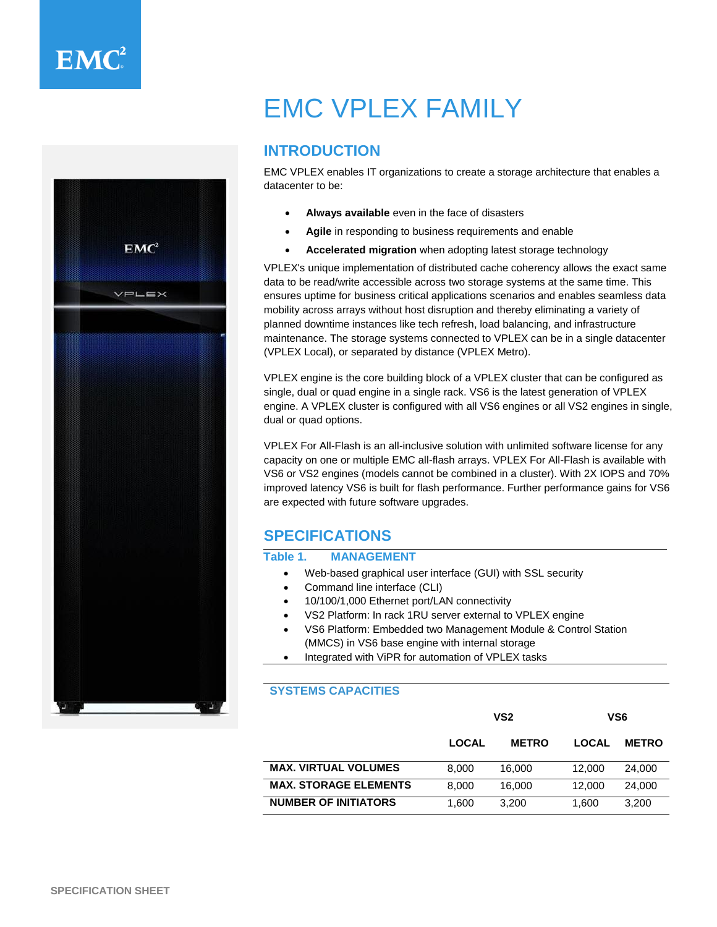

# EMC VPLEX FAMILY

## **INTRODUCTION**

EMC VPLEX enables IT organizations to create a storage architecture that enables a datacenter to be:

- **Always available** even in the face of disasters
- **Agile** in responding to business requirements and enable
- **Accelerated migration** when adopting latest storage technology

VPLEX's unique implementation of distributed cache coherency allows the exact same data to be read/write accessible across two storage systems at the same time. This ensures uptime for business critical applications scenarios and enables seamless data mobility across arrays without host disruption and thereby eliminating a variety of planned downtime instances like tech refresh, load balancing, and infrastructure maintenance. The storage systems connected to VPLEX can be in a single datacenter (VPLEX Local), or separated by distance (VPLEX Metro).

VPLEX engine is the core building block of a VPLEX cluster that can be configured as single, dual or quad engine in a single rack. VS6 is the latest generation of VPLEX engine. A VPLEX cluster is configured with all VS6 engines or all VS2 engines in single, dual or quad options.

VPLEX For All-Flash is an all-inclusive solution with unlimited software license for any capacity on one or multiple EMC all-flash arrays. VPLEX For All-Flash is available with VS6 or VS2 engines (models cannot be combined in a cluster). With 2X IOPS and 70% improved latency VS6 is built for flash performance. Further performance gains for VS6 are expected with future software upgrades.

## **SPECIFICATIONS**

#### **Table 1. MANAGEMENT**

- Web-based graphical user interface (GUI) with SSL security
- Command line interface (CLI)
- 10/100/1,000 Ethernet port/LAN connectivity
- VS2 Platform: In rack 1RU server external to VPLEX engine
- VS6 Platform: Embedded two Management Module & Control Station (MMCS) in VS6 base engine with internal storage
- Integrated with ViPR for automation of VPLEX tasks

#### **SYSTEMS CAPACITIES**

|                              | VS <sub>2</sub> |              | VS6    |              |
|------------------------------|-----------------|--------------|--------|--------------|
|                              | <b>LOCAL</b>    | <b>METRO</b> | LOCAL  | <b>METRO</b> |
| <b>MAX. VIRTUAL VOLUMES</b>  | 8.000           | 16.000       | 12,000 | 24,000       |
| <b>MAX. STORAGE ELEMENTS</b> | 8.000           | 16.000       | 12,000 | 24,000       |
| <b>NUMBER OF INITIATORS</b>  | 1.600           | 3.200        | 1.600  | 3.200        |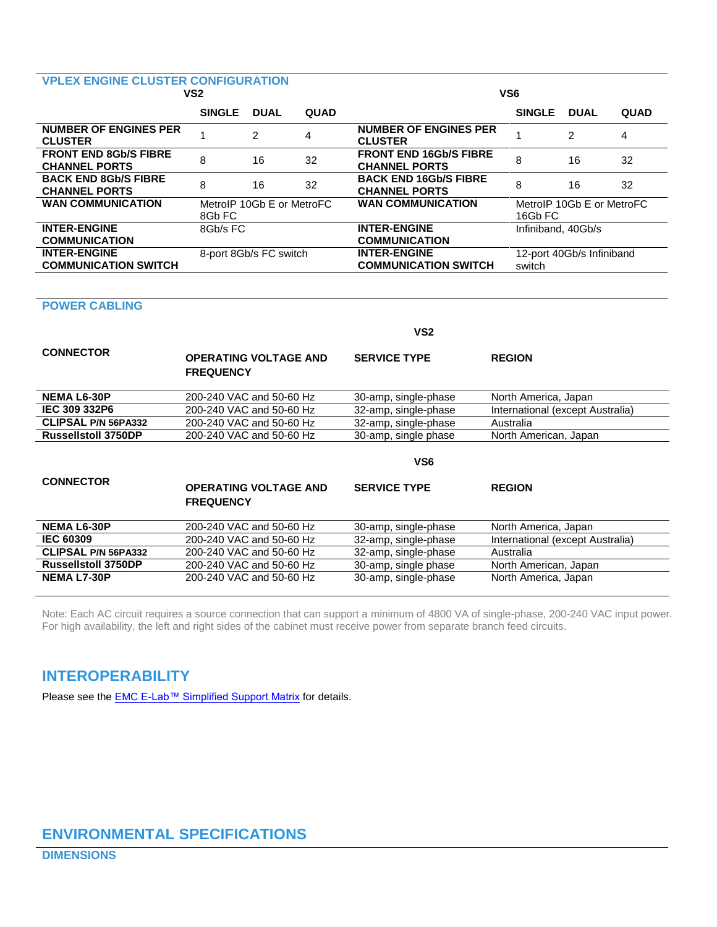## **VPLEX ENGINE CLUSTER CONFIGURATION**

| VS <sub>2</sub>                                      |               |                           |      | VS <sub>6</sub>                                       |                    |                           |             |
|------------------------------------------------------|---------------|---------------------------|------|-------------------------------------------------------|--------------------|---------------------------|-------------|
|                                                      | <b>SINGLE</b> | <b>DUAL</b>               | QUAD |                                                       | <b>SINGLE</b>      | <b>DUAL</b>               | <b>QUAD</b> |
| <b>NUMBER OF ENGINES PER</b><br><b>CLUSTER</b>       |               | 2                         | 4    | <b>NUMBER OF ENGINES PER</b><br><b>CLUSTER</b>        |                    | 2                         | 4           |
| <b>FRONT END 8Gb/S FIBRE</b><br><b>CHANNEL PORTS</b> | 8             | 16                        | 32   | <b>FRONT END 16Gb/S FIBRE</b><br><b>CHANNEL PORTS</b> | 8                  | 16                        | 32          |
| <b>BACK END 8Gb/S FIBRE</b><br><b>CHANNEL PORTS</b>  | 8             | 16                        | 32   | <b>BACK END 16Gb/S FIBRE</b><br><b>CHANNEL PORTS</b>  | 8                  | 16                        | 32          |
| <b>WAN COMMUNICATION</b>                             | 8Gb FC        | MetroIP 10Gb E or MetroFC |      | <b>WAN COMMUNICATION</b>                              | 16Gb FC            | MetroIP 10Gb E or MetroFC |             |
| <b>INTER-ENGINE</b><br><b>COMMUNICATION</b>          | 8Gb/s FC      |                           |      | <b>INTER-ENGINE</b><br><b>COMMUNICATION</b>           | Infiniband, 40Gb/s |                           |             |
| <b>INTER-ENGINE</b><br><b>COMMUNICATION SWITCH</b>   |               | 8-port 8Gb/s FC switch    |      | <b>INTER-ENGINE</b><br><b>COMMUNICATION SWITCH</b>    | switch             | 12-port 40Gb/s Infiniband |             |

#### **POWER CABLING**

|                            |                                                  | VS <sub>2</sub>      |                                  |  |  |
|----------------------------|--------------------------------------------------|----------------------|----------------------------------|--|--|
| <b>CONNECTOR</b>           | <b>OPERATING VOLTAGE AND</b><br><b>FREQUENCY</b> | <b>SERVICE TYPE</b>  | <b>REGION</b>                    |  |  |
| <b>NEMA L6-30P</b>         | 200-240 VAC and 50-60 Hz                         | 30-amp, single-phase | North America, Japan             |  |  |
| IEC 309 332P6              | 200-240 VAC and 50-60 Hz                         | 32-amp, single-phase | International (except Australia) |  |  |
| <b>CLIPSAL P/N 56PA332</b> | 200-240 VAC and 50-60 Hz                         | 32-amp, single-phase | Australia                        |  |  |
| <b>Russellstoll 3750DP</b> | 200-240 VAC and 50-60 Hz                         | 30-amp, single phase | North American, Japan            |  |  |
|                            | VS6                                              |                      |                                  |  |  |
|                            |                                                  |                      |                                  |  |  |
| <b>CONNECTOR</b>           | <b>OPERATING VOLTAGE AND</b><br><b>FREQUENCY</b> | <b>SERVICE TYPE</b>  | <b>REGION</b>                    |  |  |
| <b>NEMA L6-30P</b>         | 200-240 VAC and 50-60 Hz                         | 30-amp, single-phase | North America, Japan             |  |  |
| <b>IEC 60309</b>           | 200-240 VAC and 50-60 Hz                         | 32-amp, single-phase | International (except Australia) |  |  |
| <b>CLIPSAL P/N 56PA332</b> | 200-240 VAC and 50-60 Hz                         | 32-amp, single-phase | Australia                        |  |  |
| <b>Russellstoll 3750DP</b> | 200-240 VAC and 50-60 Hz                         | 30-amp, single phase | North American, Japan            |  |  |

Note: Each AC circuit requires a source connection that can support a minimum of 4800 VA of single-phase, 200-240 VAC input power. For high availability, the left and right sides of the cabinet must receive power from separate branch feed circuits.

## **INTEROPERABILITY**

Please see the **EMC E-Lab™ Simplified Support Matrix** for details.

## **ENVIRONMENTAL SPECIFICATIONS**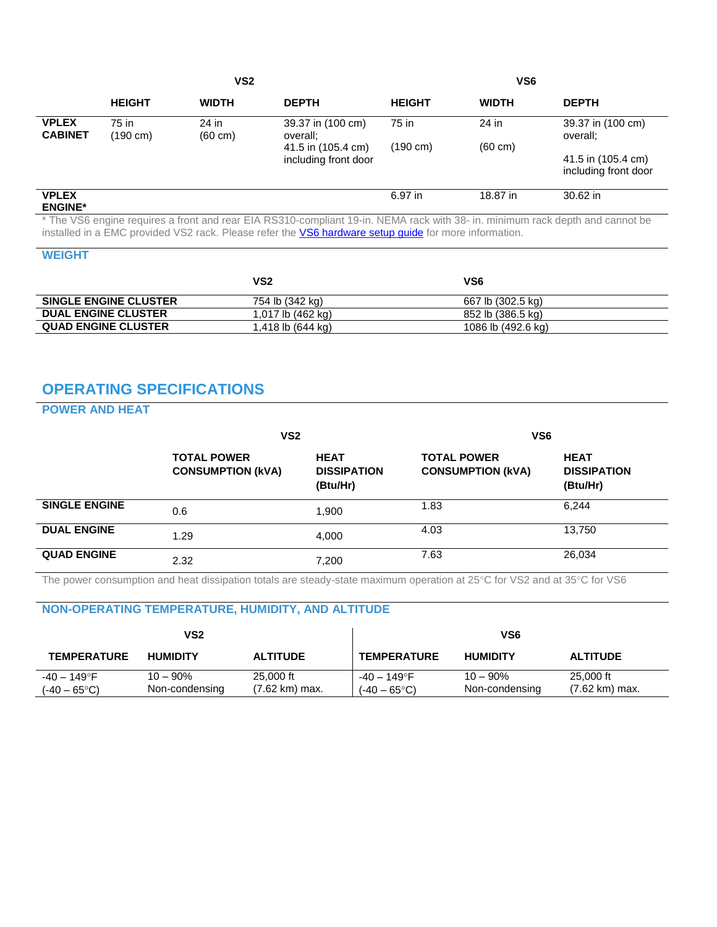|                                |                             | VS <sub>2</sub>            |                                            |               | VS <sub>6</sub>   |                                            |
|--------------------------------|-----------------------------|----------------------------|--------------------------------------------|---------------|-------------------|--------------------------------------------|
|                                | <b>HEIGHT</b>               | <b>WIDTH</b>               | <b>DEPTH</b>                               | <b>HEIGHT</b> | <b>WIDTH</b>      | <b>DEPTH</b>                               |
| <b>VPLEX</b><br><b>CABINET</b> | 75 in<br>$(190 \text{ cm})$ | 24 in<br>$(60 \text{ cm})$ | 39.37 in (100 cm)<br>overall;              | 75 in         | 24 in             | 39.37 in (100 cm)<br>overall;              |
|                                |                             |                            | 41.5 in (105.4 cm)<br>including front door | (190 cm)      | $(60 \text{ cm})$ | 41.5 in (105.4 cm)<br>including front door |
| <b>VPLEX</b><br><b>ENGINE*</b> |                             |                            |                                            | 6.97 in       | 18.87 in          | 30.62 in                                   |

\* The VS6 engine requires a front and rear EIA RS310-compliant 19-in. NEMA rack with 38- in. minimum rack depth and cannot be installed in a EMC provided VS2 rack. Please refer the **VS6 hardware setup guide** for more information.

#### **WEIGHT**

|                              | VS2                   | VS6                |  |
|------------------------------|-----------------------|--------------------|--|
| <b>SINGLE ENGINE CLUSTER</b> | 754 lb (342 kg)       | 667 lb (302.5 kg)  |  |
| <b>DUAL ENGINE CLUSTER</b>   | 1,017 lb (462 kg)     | 852 lb (386.5 kg)  |  |
| <b>QUAD ENGINE CLUSTER</b>   | $1,418$ lb $(644$ kg) | 1086 lb (492.6 kg) |  |

## **OPERATING SPECIFICATIONS**

### **POWER AND HEAT**

|                      | VS <sub>2</sub>                                |                                               | VS <sub>6</sub>                                |                                               |  |
|----------------------|------------------------------------------------|-----------------------------------------------|------------------------------------------------|-----------------------------------------------|--|
|                      | <b>TOTAL POWER</b><br><b>CONSUMPTION (kVA)</b> | <b>HEAT</b><br><b>DISSIPATION</b><br>(Btu/Hr) | <b>TOTAL POWER</b><br><b>CONSUMPTION (kVA)</b> | <b>HEAT</b><br><b>DISSIPATION</b><br>(Btu/Hr) |  |
| <b>SINGLE ENGINE</b> | 0.6                                            | 1.900                                         | 1.83                                           | 6,244                                         |  |
| <b>DUAL ENGINE</b>   | 1.29                                           | 4.000                                         | 4.03                                           | 13,750                                        |  |
| <b>QUAD ENGINE</b>   | 2.32                                           | 7,200                                         | 7.63                                           | 26,034                                        |  |

The power consumption and heat dissipation totals are steady-state maximum operation at 25°C for VS2 and at 35°C for VS6

## **NON-OPERATING TEMPERATURE, HUMIDITY, AND ALTITUDE**

| VS2                                  |                               |                                       |                                      | VS6                           |                             |
|--------------------------------------|-------------------------------|---------------------------------------|--------------------------------------|-------------------------------|-----------------------------|
| <b>TEMPERATURE</b>                   | <b>HUMIDITY</b>               | <b>ALTITUDE</b>                       | <b>TEMPERATURE</b>                   | <b>HUMIDITY</b>               | <b>ALTITUDE</b>             |
| -40 – 149°F<br>$(-40 - 65^{\circ}C)$ | $10 - 90\%$<br>Non-condensing | 25,000 ft<br>$(7.62 \text{ km})$ max. | -40 – 149°F<br>$(-40 - 65^{\circ}C)$ | $10 - 90\%$<br>Non-condensing | 25,000 ft<br>(7.62 km) max. |